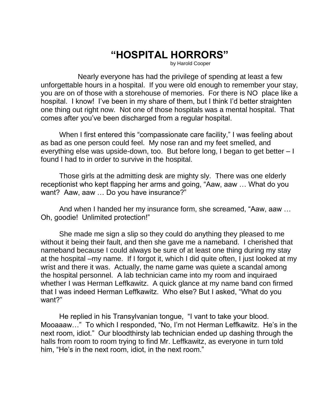## **"HOSPITAL HORRORS"**

by Harold Cooper

Nearly everyone has had the privilege of spending at least a few unforgettable hours in a hospital. If you were old enough to remember your stay, you are on of those with a storehouse of memories. For there is NO place like a hospital. I know! I've been in my share of them, but I think I'd better straighten one thing out right now. Not one of those hospitals was a mental hospital. That comes after you've been discharged from a regular hospital.

When I first entered this "compassionate care facility," I was feeling about as bad as one person could feel. My nose ran and my feet smelled, and everything else was upside-down, too. But before long, I began to get better – I found I had to in order to survive in the hospital.

Those girls at the admitting desk are mighty sly. There was one elderly receptionist who kept flapping her arms and going, "Aaw, aaw … What do you want? Aaw, aaw … Do you have insurance?"

And when I handed her my insurance form, she screamed, "Aaw, aaw … Oh, goodie! Unlimited protection!"

She made me sign a slip so they could do anything they pleased to me without it being their fault, and then she gave me a nameband. I cherished that nameband because I could always be sure of at least one thing during my stay at the hospital –my name. If I forgot it, which I did quite often, I just looked at my wrist and there it was. Actually, the name game was quiete a scandal among the hospital personnel. A lab technician came into my room and inquiraed whether I was Herman Leffkawitz. A quick glance at my name band con firmed that I was indeed Herman Leffkawitz. Who else? But I asked, "What do you want?"

He replied in his Transylvanian tongue, "I vant to take your blood. Mooaaaw…" To which I responded, "No, I'm not Herman Leffkawitz. He's in the next room, idiot." Our bloodthirsty lab technician ended up dashing through the halls from room to room trying to find Mr. Leffkawitz, as everyone in turn told him, "He's in the next room, idiot, in the next room."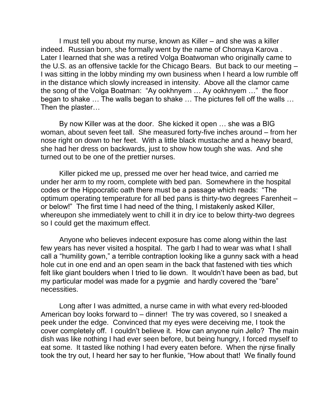I must tell you about my nurse, known as Killer – and she was a killer indeed. Russian born, she formally went by the name of Chornaya Karova . Later I learned that she was a retired Volga Boatwoman who originally came to the U.S. as an offensive tackle for the Chicago Bears. But back to our meeting – I was sitting in the lobby minding my own business when I heard a low rumble off in the distance which slowly increased in intensity. Above all the clamor came the song of the Volga Boatman: "Ay ookhnyem … Ay ookhnyem …" the floor began to shake … The walls began to shake … The pictures fell off the walls … Then the plaster…

By now Killer was at the door. She kicked it open … she was a BIG woman, about seven feet tall. She measured forty-five inches around – from her nose right on down to her feet. With a little black mustache and a heavy beard, she had her dress on backwards, just to show how tough she was. And she turned out to be one of the prettier nurses.

Killer picked me up, pressed me over her head twice, and carried me under her arm to my room, complete with bed pan. Somewhere in the hospital codes or the Hippocratic oath there must be a passage which reads: "The optimum operating temperature for all bed pans is thirty-two degrees Farenheit – or below!" The first time I had need of the thing, I mistakenly asked Killer, whereupon she immediately went to chill it in dry ice to below thirty-two degrees so I could get the maximum effect.

Anyone who believes indecent exposure has come along within the last few years has never visited a hospital. The garb I had to wear was what I shall call a "humility gown," a terrible contraption looking like a gunny sack with a head hole cut in one end and an open seam in the back that fastened with ties which felt like giant boulders when I tried to lie down. It wouldn't have been as bad, but my particular model was made for a pygmie and hardly covered the "bare" necessities.

Long after I was admitted, a nurse came in with what every red-blooded American boy looks forward to – dinner! The try was covered, so I sneaked a peek under the edge. Convinced that my eyes were deceiving me, I took the cover completely off. I couldn't believe it. How can anyone ruin Jello? The main dish was like nothing I had ever seen before, but being hungry, I forced myself to eat some. It tasted like nothing I had every eaten before. When the njrse finally took the try out, I heard her say to her flunkie, "How about that! We finally found